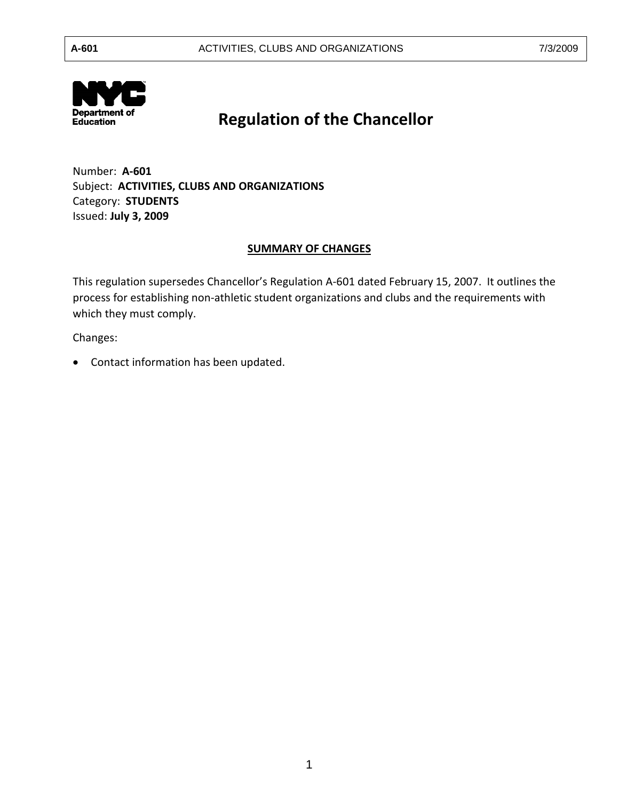

# **Regulation of the Chancellor**

 Number: **A-601**  Subject: **ACTIVITIES, CLUBS AND ORGANIZATIONS**  Category: **STUDENTS**  Issued: **July 3, 2009** 

## **SUMMARY OF CHANGES**

 This regulation supersedes Chancellor's Regulation A-601 dated February 15, 2007. It outlines the process for establishing non-athletic student organizations and clubs and the requirements with which they must comply.

Changes:

• Contact information has been updated.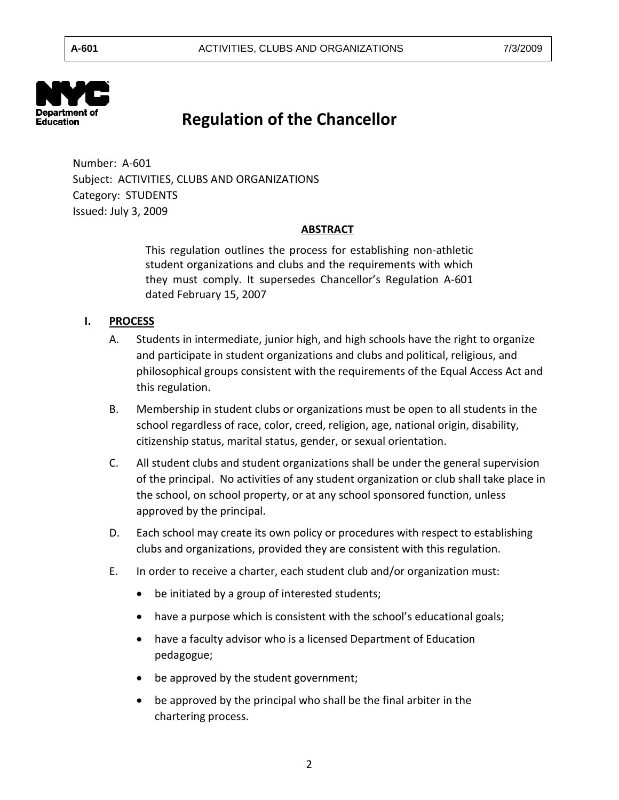

## **Regulation of the Chancellor**

 Number: A-601 Category: STUDENTS Subject: ACTIVITIES, CLUBS AND ORGANIZATIONS Issued: July 3, 2009

### **ABSTRACT**

 This regulation outlines the process for establishing non-athletic student organizations and clubs and the requirements with which they must comply. It supersedes Chancellor's Regulation A-601 dated February 15, 2007

#### **I. PROCESS**

- A. Students in intermediate, junior high, and high schools have the right to organize and participate in student organizations and clubs and political, religious, and philosophical groups consistent with the requirements of the Equal Access Act and this regulation.
- B. Membership in student clubs or organizations must be open to all students in the school regardless of race, color, creed, religion, age, national origin, disability, citizenship status, marital status, gender, or sexual orientation.
- C. All student clubs and student organizations shall be under the general supervision of the principal. No activities of any student organization or club shall take place in the school, on school property, or at any school sponsored function, unless approved by the principal.
- D. Each school may create its own policy or procedures with respect to establishing clubs and organizations, provided they are consistent with this regulation.
- E. In order to receive a charter, each student club and/or organization must:
	- be initiated by a group of interested students;
	- have a purpose which is consistent with the school's educational goals;
	- have a faculty advisor who is a licensed Department of Education pedagogue;
	- be approved by the student government;
	- be approved by the principal who shall be the final arbiter in the chartering process.